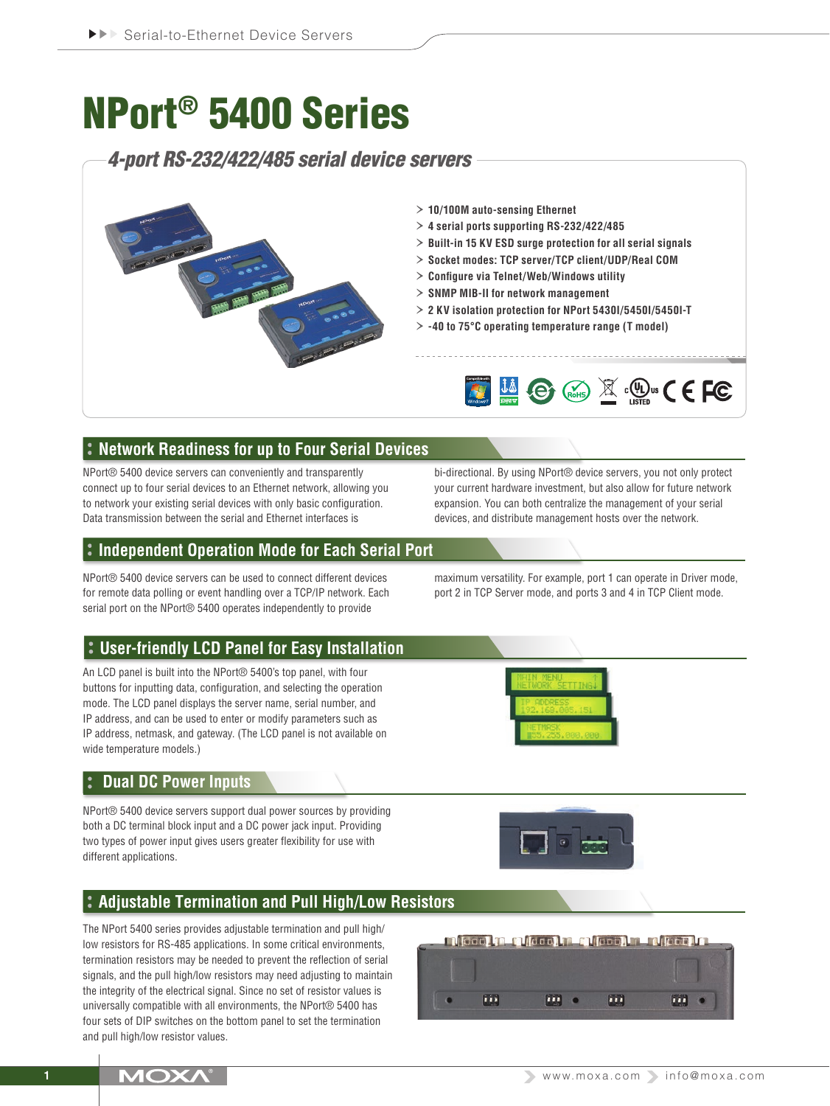# NPort® 5400 Series

*4-port RS-232/422/485 serial device servers*



- › **10/100M auto-sensing Ethernet**
- › **4 serial ports supporting RS-232/422/485**
- › **Built-in 15 KV ESD surge protection for all serial signals**
- › **Socket modes: TCP server/TCP client/UDP/Real COM**
- › **Configure via Telnet/Web/Windows utility**
- › **SNMP MIB-II for network management**
- › **2 KV isolation protection for NPort 5430I/5450I/5450I-T**
- › **-40 to 75°C operating temperature range (T model)**



# **Network Readiness for up to Four Serial Devices**

NPort® 5400 device servers can conveniently and transparently connect up to four serial devices to an Ethernet network, allowing you to network your existing serial devices with only basic configuration. Data transmission between the serial and Ethernet interfaces is

bi-directional. By using NPort® device servers, you not only protect your current hardware investment, but also allow for future network expansion. You can both centralize the management of your serial devices, and distribute management hosts over the network.

maximum versatility. For example, port 1 can operate in Driver mode, port 2 in TCP Server mode, and ports 3 and 4 in TCP Client mode.

# **Independent Operation Mode for Each Serial Port**

NPort® 5400 device servers can be used to connect different devices for remote data polling or event handling over a TCP/IP network. Each serial port on the NPort<sup>®</sup> 5400 operates independently to provide

# **User-friendly LCD Panel for Easy Installation**

An LCD panel is built into the NPort® 5400's top panel, with four buttons for inputting data, configuration, and selecting the operation mode. The LCD panel displays the server name, serial number, and IP address, and can be used to enter or modify parameters such as IP address, netmask, and gateway. (The LCD panel is not available on wide temperature models.)



### **Dual DC Power Inputs**

NPort® 5400 device servers support dual power sources by providing both a DC terminal block input and a DC power jack input. Providing two types of power input gives users greater flexibility for use with different applications.



# **Adjustable Termination and Pull High/Low Resistors**

The NPort 5400 series provides adjustable termination and pull high/ low resistors for RS-485 applications. In some critical environments, termination resistors may be needed to prevent the reflection of serial signals, and the pull high/low resistors may need adjusting to maintain the integrity of the electrical signal. Since no set of resistor values is universally compatible with all environments, the NPort® 5400 has four sets of DIP switches on the bottom panel to set the termination and pull high/low resistor values.

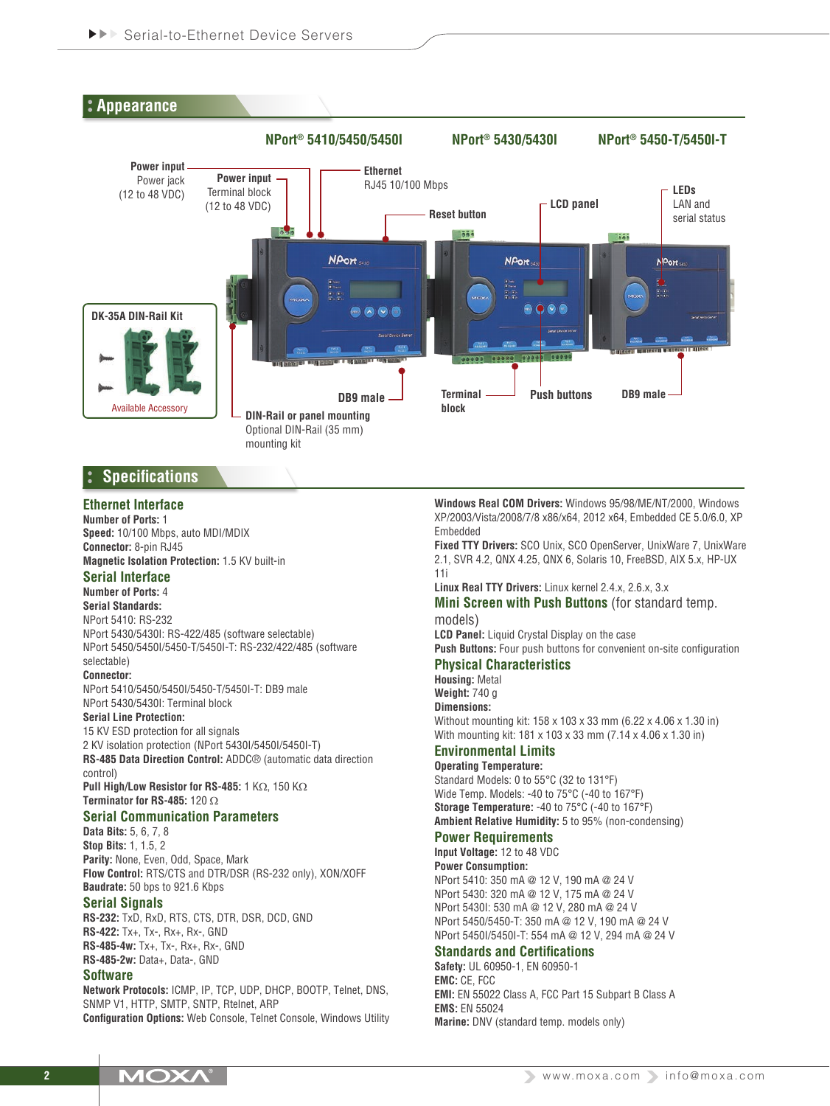

# **Specifications**

# **Ethernet Interface**

**Number of Ports:** 1 **Speed:** 10/100 Mbps, auto MDI/MDIX **Connector:** 8-pin RJ45 **Magnetic Isolation Protection:** 1.5 KV built-in

### **Serial Interface**

**Number of Ports:** 4

# **Serial Standards:**

NPort 5410: RS-232

NPort 5430/5430I: RS-422/485 (software selectable) NPort 5450/5450I/5450-T/5450I-T: RS-232/422/485 (software selectable)

#### **Connector:**

NPort 5410/5450/5450I/5450-T/5450I-T: DB9 male NPort 5430/5430I: Terminal block

#### **Serial Line Protection:**

15 KV ESD protection for all signals 2 KV isolation protection (NPort 5430I/5450I/5450I-T) **RS-485 Data Direction Control:** ADDC® (automatic data direction control) **Pull High/Low Resistor for RS-485:** 1 KΩ, 150 KΩ

**Terminator for RS-485:** 120 Ω

# **Serial Communication Parameters**

**Data Bits:** 5, 6, 7, 8 **Stop Bits:** 1, 1.5, 2 **Parity:** None, Even, Odd, Space, Mark **Flow Control:** RTS/CTS and DTR/DSR (RS-232 only), XON/XOFF **Baudrate:** 50 bps to 921.6 Kbps

#### **Serial Signals**

**RS-232:** TxD, RxD, RTS, CTS, DTR, DSR, DCD, GND **RS-422:** Tx+, Tx-, Rx+, Rx-, GND **RS-485-4w:** Tx+, Tx-, Rx+, Rx-, GND **RS-485-2w:** Data+, Data-, GND

### **Software**

**Network Protocols:** ICMP, IP, TCP, UDP, DHCP, BOOTP, Telnet, DNS, SNMP V1, HTTP, SMTP, SNTP, Rtelnet, ARP **Configuration Options:** Web Console, Telnet Console, Windows Utility **Windows Real COM Drivers:** Windows 95/98/ME/NT/2000, Windows XP/2003/Vista/2008/7/8 x86/x64, 2012 x64, Embedded CE 5.0/6.0, XP Embedded

**Fixed TTY Drivers:** SCO Unix, SCO OpenServer, UnixWare 7, UnixWare 2.1, SVR 4.2, QNX 4.25, QNX 6, Solaris 10, FreeBSD, AIX 5.x, HP-UX 11i

**Linux Real TTY Drivers:** Linux kernel 2.4.x, 2.6.x, 3.x

#### **Mini Screen with Push Buttons** (for standard temp. models)

**LCD Panel:** Liquid Crystal Display on the case

**Push Buttons:** Four push buttons for convenient on-site configuration **Physical Characteristics**

# **Housing:** Metal

**Weight:** 740 g

**Dimensions:**

Without mounting kit: 158 x 103 x 33 mm (6.22 x 4.06 x 1.30 in) With mounting kit: 181 x 103 x 33 mm (7.14 x 4.06 x 1.30 in)

#### **Environmental Limits Operating Temperature:**

Standard Models: 0 to 55°C (32 to 131°F) Wide Temp. Models: -40 to 75°C (-40 to 167°F) **Storage Temperature:** -40 to 75°C (-40 to 167°F) **Ambient Relative Humidity:** 5 to 95% (non-condensing)

#### **Power Requirements**

**Input Voltage:** 12 to 48 VDC **Power Consumption:** NPort 5410: 350 mA @ 12 V, 190 mA @ 24 V NPort 5430: 320 mA @ 12 V, 175 mA @ 24 V NPort 5430I: 530 mA @ 12 V, 280 mA @ 24 V NPort 5450/5450-T: 350 mA @ 12 V, 190 mA @ 24 V NPort 5450I/5450I-T: 554 mA @ 12 V, 294 mA @ 24 V

# **Standards and Certifications**

**Safety:** UL 60950-1, EN 60950-1 **EMC:** CE, FCC **EMI:** EN 55022 Class A, FCC Part 15 Subpart B Class A **EMS:** EN 55024 **Marine:** DNV (standard temp. models only)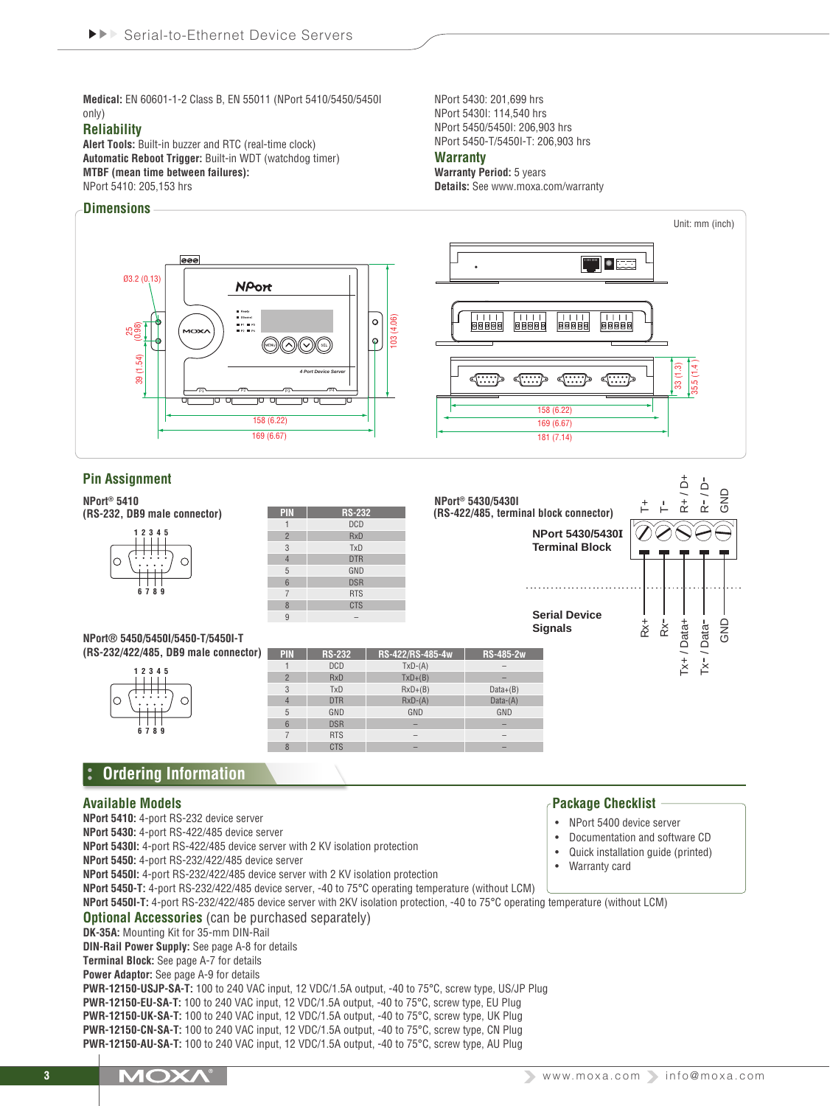**Medical:** EN 60601-1-2 Class B, EN 55011 (NPort 5410/5450/5450I only)

#### **Reliability**

**Alert Tools:** Built-in buzzer and RTC (real-time clock) **Automatic Reboot Trigger:** Built-in WDT (watchdog timer) **MTBF (mean time between failures):** NPort 5410: 205,153 hrs

#### **Dimensions**



**Warranty Period:** 5 years **Details:** See www.moxa.com/warranty



**Power Adaptor:** See page A-9 for details

**PWR-12150-USJP-SA-T:** 100 to 240 VAC input, 12 VDC/1.5A output, -40 to 75°C, screw type, US/JP Plug **PWR-12150-EU-SA-T:** 100 to 240 VAC input, 12 VDC/1.5A output, -40 to 75°C, screw type, EU Plug **PWR-12150-UK-SA-T:** 100 to 240 VAC input, 12 VDC/1.5A output, -40 to 75°C, screw type, UK Plug **PWR-12150-CN-SA-T:** 100 to 240 VAC input, 12 VDC/1.5A output, -40 to 75°C, screw type, CN Plug **PWR-12150-AU-SA-T:** 100 to 240 VAC input, 12 VDC/1.5A output, -40 to 75°C, screw type, AU Plug